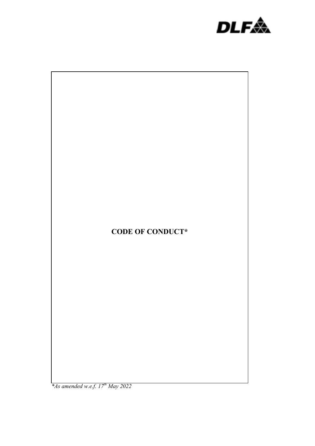



 *\*As amended w.e.f. 17th May 2022*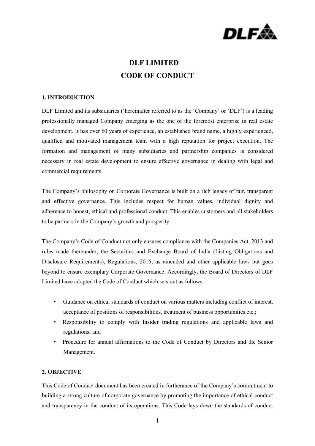

# **DLF LIMITED CODE OF CONDUCT**

## **1. INTRODUCTION**

DLF Limited and its subsidiaries ('hereinafter referred to as the 'Company' or 'DLF') is a leading professionally managed Company emerging as the one of the foremost enterprise in real estate development. It has over 60 years of experience, an established brand name, a highly experienced, qualified and motivated management team with a high reputation for project execution. The formation and management of many subsidiaries and partnership companies is considered necessary in real estate development to ensure effective governance in dealing with legal and commercial requirements.

The Company's philosophy on Corporate Governance is built on a rich legacy of fair, transparent and effective governance. This includes respect for human values, individual dignity and adherence to honest, ethical and professional conduct. This enables customers and all stakeholders to be partners in the Company's growth and prosperity.

The Company's Code of Conduct not only ensures compliance with the Companies Act, 2013 and rules made thereunder, the Securities and Exchange Board of India (Listing Obligations and Disclosure Requirements), Regulations, 2015, as amended and other applicable laws but goes beyond to ensure exemplary Corporate Governance. Accordingly, the Board of Directors of DLF Limited have adopted the Code of Conduct which sets out as follows:

- Guidance on ethical standards of conduct on various matters including conflict of interest, acceptance of positions of responsibilities, treatment of business opportunities etc.;
- Responsibility to comply with Insider trading regulations and applicable laws and regulations; and
- Procedure for annual affirmations to the Code of Conduct by Directors and the Senior Management.

## **2. OBJECTIVE**

This Code of Conduct document has been created in furtherance of the Company's commitment to building a strong culture of corporate governance by promoting the importance of ethical conduct and transparency in the conduct of its operations. This Code lays down the standards of conduct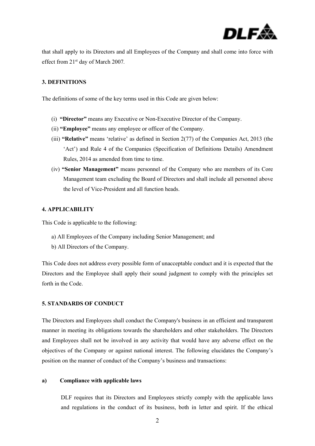

that shall apply to its Directors and all Employees of the Company and shall come into force with effect from 21st day of March 2007*.*

## **3. DEFINITIONS**

The definitions of some of the key terms used in this Code are given below:

- (i) **"Director"** means any Executive or Non-Executive Director of the Company.
- (ii) **"Employee"** means any employee or officer of the Company.
- (iii) **"Relative"** means 'relative' as defined in Section 2(77) of the Companies Act, 2013 (the 'Act') and Rule 4 of the Companies (Specification of Definitions Details) Amendment Rules, 2014 as amended from time to time.
- (iv) **"Senior Management"** means personnel of the Company who are members of its Core Management team excluding the Board of Directors and shall include all personnel above the level of Vice-President and all function heads.

## **4. APPLICABILITY**

This Code is applicable to the following:

- a) All Employees of the Company including Senior Management; and
- b) All Directors of the Company.

This Code does not address every possible form of unacceptable conduct and it is expected that the Directors and the Employee shall apply their sound judgment to comply with the principles set forth in the Code.

#### **5. STANDARDS OF CONDUCT**

The Directors and Employees shall conduct the Company's business in an efficient and transparent manner in meeting its obligations towards the shareholders and other stakeholders. The Directors and Employees shall not be involved in any activity that would have any adverse effect on the objectives of the Company or against national interest. The following elucidates the Company's position on the manner of conduct of the Company's business and transactions:

### **a) Compliance with applicable laws**

DLF requires that its Directors and Employees strictly comply with the applicable laws and regulations in the conduct of its business, both in letter and spirit. If the ethical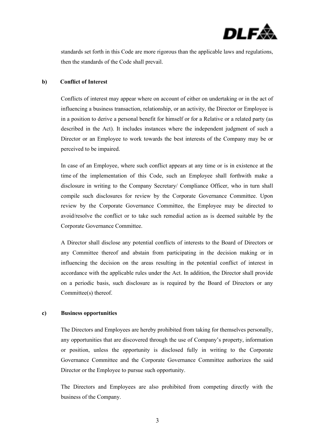

standards set forth in this Code are more rigorous than the applicable laws and regulations, then the standards of the Code shall prevail.

## **b) Conflict of Interest**

Conflicts of interest may appear where on account of either on undertaking or in the act of influencing a business transaction, relationship, or an activity, the Director or Employee is in a position to derive a personal benefit for himself or for a Relative or a related party (as described in the Act). It includes instances where the independent judgment of such a Director or an Employee to work towards the best interests of the Company may be or perceived to be impaired.

In case of an Employee, where such conflict appears at any time or is in existence at the time of the implementation of this Code, such an Employee shall forthwith make a disclosure in writing to the Company Secretary/ Compliance Officer, who in turn shall compile such disclosures for review by the Corporate Governance Committee. Upon review by the Corporate Governance Committee, the Employee may be directed to avoid/resolve the conflict or to take such remedial action as is deemed suitable by the Corporate Governance Committee.

A Director shall disclose any potential conflicts of interests to the Board of Directors or any Committee thereof and abstain from participating in the decision making or in influencing the decision on the areas resulting in the potential conflict of interest in accordance with the applicable rules under the Act. In addition, the Director shall provide on a periodic basis, such disclosure as is required by the Board of Directors or any Committee(s) thereof.

#### **c) Business opportunities**

The Directors and Employees are hereby prohibited from taking for themselves personally, any opportunities that are discovered through the use of Company's property, information or position, unless the opportunity is disclosed fully in writing to the Corporate Governance Committee and the Corporate Governance Committee authorizes the said Director or the Employee to pursue such opportunity.

The Directors and Employees are also prohibited from competing directly with the business of the Company.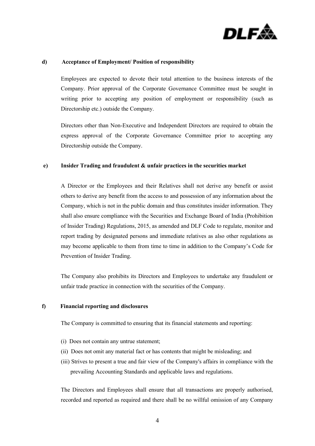

## **d) Acceptance of Employment/ Position of responsibility**

Employees are expected to devote their total attention to the business interests of the Company. Prior approval of the Corporate Governance Committee must be sought in writing prior to accepting any position of employment or responsibility (such as Directorship etc.) outside the Company.

Directors other than Non-Executive and Independent Directors are required to obtain the express approval of the Corporate Governance Committee prior to accepting any Directorship outside the Company.

## **e) Insider Trading and fraudulent & unfair practices in the securities market**

A Director or the Employees and their Relatives shall not derive any benefit or assist others to derive any benefit from the access to and possession of any information about the Company, which is not in the public domain and thus constitutes insider information. They shall also ensure compliance with the Securities and Exchange Board of India (Prohibition of Insider Trading) Regulations, 2015, as amended and DLF Code to regulate, monitor and report trading by designated persons and immediate relatives as also other regulations as may become applicable to them from time to time in addition to the Company's Code for Prevention of Insider Trading.

The Company also prohibits its Directors and Employees to undertake any fraudulent or unfair trade practice in connection with the securities of the Company.

### **f) Financial reporting and disclosures**

The Company is committed to ensuring that its financial statements and reporting:

- (i) Does not contain any untrue statement;
- (ii) Does not omit any material fact or has contents that might be misleading; and
- (iii) Strives to present a true and fair view of the Company's affairs in compliance with the prevailing Accounting Standards and applicable laws and regulations.

The Directors and Employees shall ensure that all transactions are properly authorised, recorded and reported as required and there shall be no willful omission of any Company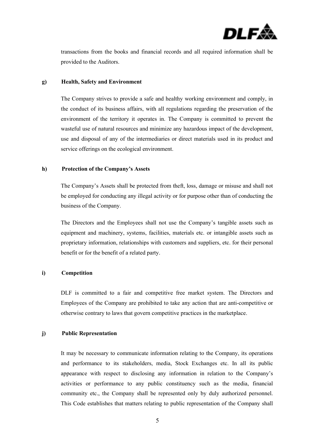

transactions from the books and financial records and all required information shall be provided to the Auditors.

#### **g) Health, Safety and Environment**

The Company strives to provide a safe and healthy working environment and comply, in the conduct of its business affairs, with all regulations regarding the preservation of the environment of the territory it operates in. The Company is committed to prevent the wasteful use of natural resources and minimize any hazardous impact of the development, use and disposal of any of the intermediaries or direct materials used in its product and service offerings on the ecological environment.

#### **h) Protection of the Company's Assets**

The Company's Assets shall be protected from theft, loss, damage or misuse and shall not be employed for conducting any illegal activity or for purpose other than of conducting the business of the Company.

The Directors and the Employees shall not use the Company's tangible assets such as equipment and machinery, systems, facilities, materials etc. or intangible assets such as proprietary information, relationships with customers and suppliers, etc. for their personal benefit or for the benefit of a related party.

## **i) Competition**

DLF is committed to a fair and competitive free market system. The Directors and Employees of the Company are prohibited to take any action that are anti-competitive or otherwise contrary to laws that govern competitive practices in the marketplace.

## **j) Public Representation**

It may be necessary to communicate information relating to the Company, its operations and performance to its stakeholders, media, Stock Exchanges etc. In all its public appearance with respect to disclosing any information in relation to the Company's activities or performance to any public constituency such as the media, financial community etc., the Company shall be represented only by duly authorized personnel. This Code establishes that matters relating to public representation of the Company shall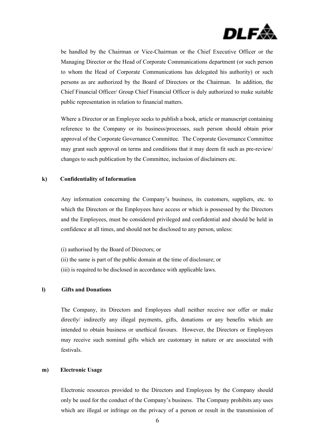

be handled by the Chairman or Vice-Chairman or the Chief Executive Officer or the Managing Director or the Head of Corporate Communications department (or such person to whom the Head of Corporate Communications has delegated his authority) or such persons as are authorized by the Board of Directors or the Chairman. In addition, the Chief Financial Officer/ Group Chief Financial Officer is duly authorized to make suitable public representation in relation to financial matters.

Where a Director or an Employee seeks to publish a book, article or manuscript containing reference to the Company or its business/processes, such person should obtain prior approval of the Corporate Governance Committee. The Corporate Governance Committee may grant such approval on terms and conditions that it may deem fit such as pre-review/ changes to such publication by the Committee, inclusion of disclaimers etc.

#### **k) Confidentiality of Information**

Any information concerning the Company's business, its customers, suppliers, etc. to which the Directors or the Employees have access or which is possessed by the Directors and the Employees, must be considered privileged and confidential and should be held in confidence at all times, and should not be disclosed to any person, unless:

(i) authorised by the Board of Directors; or (ii) the same is part of the public domain at the time of disclosure; or (iii) is required to be disclosed in accordance with applicable laws.

## **l) Gifts and Donations**

The Company, its Directors and Employees shall neither receive nor offer or make directly/ indirectly any illegal payments, gifts, donations or any benefits which are intended to obtain business or unethical favours. However, the Directors or Employees may receive such nominal gifts which are customary in nature or are associated with festivals.

## **m) Electronic Usage**

Electronic resources provided to the Directors and Employees by the Company should only be used for the conduct of the Company's business. The Company prohibits any uses which are illegal or infringe on the privacy of a person or result in the transmission of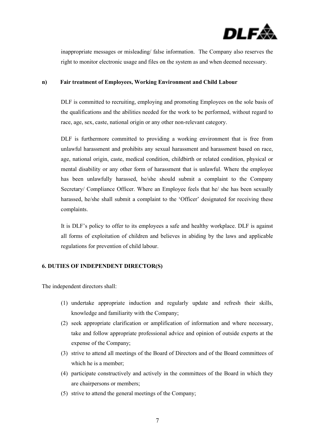

inappropriate messages or misleading/ false information. The Company also reserves the right to monitor electronic usage and files on the system as and when deemed necessary.

#### **n) Fair treatment of Employees, Working Environment and Child Labour**

DLF is committed to recruiting, employing and promoting Employees on the sole basis of the qualifications and the abilities needed for the work to be performed, without regard to race, age, sex, caste, national origin or any other non-relevant category.

DLF is furthermore committed to providing a working environment that is free from unlawful harassment and prohibits any sexual harassment and harassment based on race, age, national origin, caste, medical condition, childbirth or related condition, physical or mental disability or any other form of harassment that is unlawful. Where the employee has been unlawfully harassed, he/she should submit a complaint to the Company Secretary/ Compliance Officer. Where an Employee feels that he/ she has been sexually harassed, he/she shall submit a complaint to the 'Officer' designated for receiving these complaints.

It is DLF's policy to offer to its employees a safe and healthy workplace. DLF is against all forms of exploitation of children and believes in abiding by the laws and applicable regulations for prevention of child labour.

## **6. DUTIES OF INDEPENDENT DIRECTOR(S)**

The independent directors shall:

- (1) undertake appropriate induction and regularly update and refresh their skills, knowledge and familiarity with the Company;
- (2) seek appropriate clarification or amplification of information and where necessary, take and follow appropriate professional advice and opinion of outside experts at the expense of the Company;
- (3) strive to attend all meetings of the Board of Directors and of the Board committees of which he is a member;
- (4) participate constructively and actively in the committees of the Board in which they are chairpersons or members;
- (5) strive to attend the general meetings of the Company;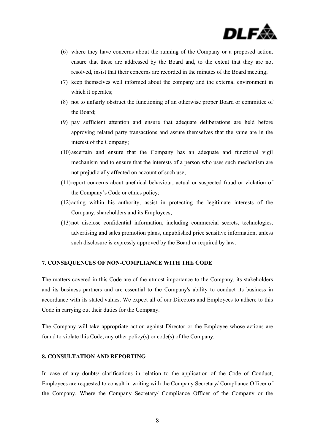

- (6) where they have concerns about the running of the Company or a proposed action, ensure that these are addressed by the Board and, to the extent that they are not resolved, insist that their concerns are recorded in the minutes of the Board meeting;
- (7) keep themselves well informed about the company and the external environment in which it operates;
- (8) not to unfairly obstruct the functioning of an otherwise proper Board or committee of the Board;
- (9) pay sufficient attention and ensure that adequate deliberations are held before approving related party transactions and assure themselves that the same are in the interest of the Company;
- (10)ascertain and ensure that the Company has an adequate and functional vigil mechanism and to ensure that the interests of a person who uses such mechanism are not prejudicially affected on account of such use;
- (11)report concerns about unethical behaviour, actual or suspected fraud or violation of the Company's Code or ethics policy;
- (12)acting within his authority, assist in protecting the legitimate interests of the Company, shareholders and its Employees;
- (13)not disclose confidential information, including commercial secrets, technologies, advertising and sales promotion plans, unpublished price sensitive information, unless such disclosure is expressly approved by the Board or required by law.

#### **7. CONSEQUENCES OF NON-COMPLIANCE WITH THE CODE**

The matters covered in this Code are of the utmost importance to the Company, its stakeholders and its business partners and are essential to the Company's ability to conduct its business in accordance with its stated values. We expect all of our Directors and Employees to adhere to this Code in carrying out their duties for the Company.

The Company will take appropriate action against Director or the Employee whose actions are found to violate this Code, any other policy(s) or code(s) of the Company.

## **8. CONSULTATION AND REPORTING**

In case of any doubts/ clarifications in relation to the application of the Code of Conduct, Employees are requested to consult in writing with the Company Secretary/ Compliance Officer of the Company. Where the Company Secretary/ Compliance Officer of the Company or the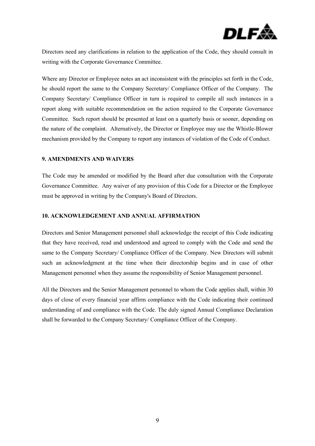

Directors need any clarifications in relation to the application of the Code, they should consult in writing with the Corporate Governance Committee.

Where any Director or Employee notes an act inconsistent with the principles set forth in the Code, he should report the same to the Company Secretary/ Compliance Officer of the Company. The Company Secretary/ Compliance Officer in turn is required to compile all such instances in a report along with suitable recommendation on the action required to the Corporate Governance Committee. Such report should be presented at least on a quarterly basis or sooner, depending on the nature of the complaint. Alternatively, the Director or Employee may use the Whistle-Blower mechanism provided by the Company to report any instances of violation of the Code of Conduct.

## **9. AMENDMENTS AND WAIVERS**

The Code may be amended or modified by the Board after due consultation with the Corporate Governance Committee. Any waiver of any provision of this Code for a Director or the Employee must be approved in writing by the Company's Board of Directors.

## **10. ACKNOWLEDGEMENT AND ANNUAL AFFIRMATION**

Directors and Senior Management personnel shall acknowledge the receipt of this Code indicating that they have received, read and understood and agreed to comply with the Code and send the same to the Company Secretary/ Compliance Officer of the Company. New Directors will submit such an acknowledgment at the time when their directorship begins and in case of other Management personnel when they assume the responsibility of Senior Management personnel.

All the Directors and the Senior Management personnel to whom the Code applies shall, within 30 days of close of every financial year affirm compliance with the Code indicating their continued understanding of and compliance with the Code. The duly signed Annual Compliance Declaration shall be forwarded to the Company Secretary/ Compliance Officer of the Company.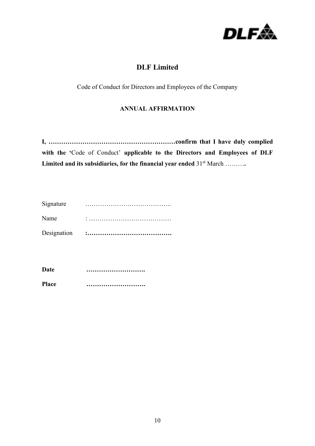

## **DLF Limited**

Code of Conduct for Directors and Employees of the Company

## **ANNUAL AFFIRMATION**

**I, ……………………………………………………confirm that I have duly complied with the '**Code of Conduct' **applicable to the Directors and Employees of DLF**  Limited and its subsidiaries, for the financial year ended 31<sup>st</sup> March ………

| Signature   |  |
|-------------|--|
| Name        |  |
| Designation |  |

| Date         |  |
|--------------|--|
| <b>Place</b> |  |